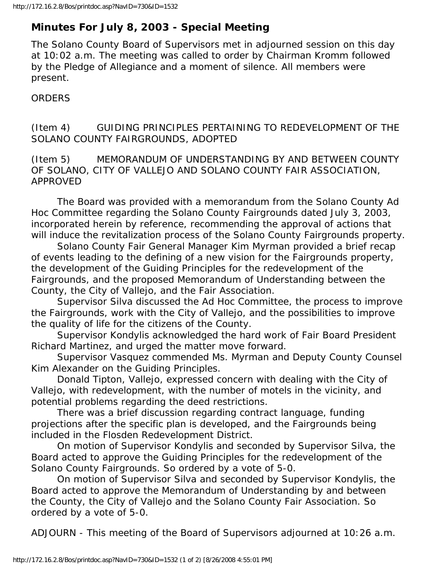## **Minutes For July 8, 2003 - Special Meeting**

The Solano County Board of Supervisors met in adjourned session on this day at 10:02 a.m. The meeting was called to order by Chairman Kromm followed by the Pledge of Allegiance and a moment of silence. All members were present.

**ORDERS** 

(Item 4) GUIDING PRINCIPLES PERTAINING TO REDEVELOPMENT OF THE SOLANO COUNTY FAIRGROUNDS, ADOPTED

(Item 5) MEMORANDUM OF UNDERSTANDING BY AND BETWEEN COUNTY OF SOLANO, CITY OF VALLEJO AND SOLANO COUNTY FAIR ASSOCIATION, APPROVED

 The Board was provided with a memorandum from the Solano County Ad Hoc Committee regarding the Solano County Fairgrounds dated July 3, 2003, incorporated herein by reference, recommending the approval of actions that will induce the revitalization process of the Solano County Fairgrounds property.

 Solano County Fair General Manager Kim Myrman provided a brief recap of events leading to the defining of a new vision for the Fairgrounds property, the development of the Guiding Principles for the redevelopment of the Fairgrounds, and the proposed Memorandum of Understanding between the County, the City of Vallejo, and the Fair Association.

 Supervisor Silva discussed the Ad Hoc Committee, the process to improve the Fairgrounds, work with the City of Vallejo, and the possibilities to improve the quality of life for the citizens of the County.

 Supervisor Kondylis acknowledged the hard work of Fair Board President Richard Martinez, and urged the matter move forward.

 Supervisor Vasquez commended Ms. Myrman and Deputy County Counsel Kim Alexander on the Guiding Principles.

 Donald Tipton, Vallejo, expressed concern with dealing with the City of Vallejo, with redevelopment, with the number of motels in the vicinity, and potential problems regarding the deed restrictions.

 There was a brief discussion regarding contract language, funding projections after the specific plan is developed, and the Fairgrounds being included in the Flosden Redevelopment District.

 On motion of Supervisor Kondylis and seconded by Supervisor Silva, the Board acted to approve the Guiding Principles for the redevelopment of the Solano County Fairgrounds. So ordered by a vote of 5-0.

 On motion of Supervisor Silva and seconded by Supervisor Kondylis, the Board acted to approve the Memorandum of Understanding by and between the County, the City of Vallejo and the Solano County Fair Association. So ordered by a vote of 5-0.

ADJOURN - This meeting of the Board of Supervisors adjourned at 10:26 a.m.